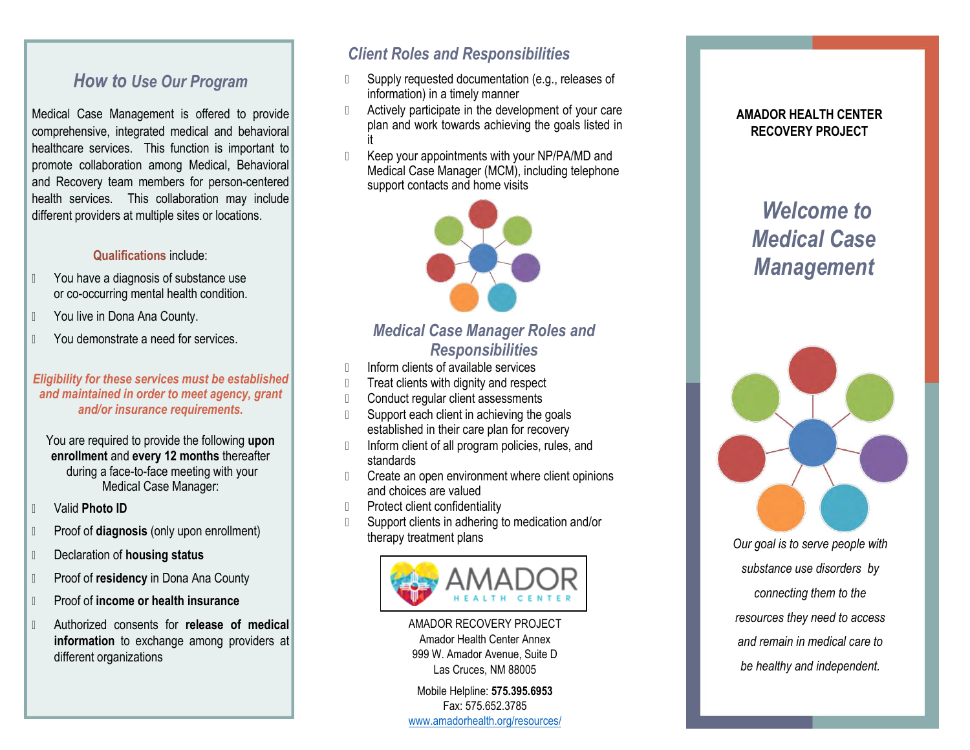# *How to Use Our Program*

Medical Case Management is offered to provide comprehensive, integrated medical and behavioral healthcare services. This function is important to promote collaboration among Medical, Behavioral and Recovery team members for person-centered health services. This collaboration may include different providers at multiple sites or locations.

#### **Qualifications** include:

- **The Structure You have a diagnosis of substance use** or co-occurring mental health condition.
- **The You live in Dona Ana County.**
- **The You demonstrate a need for services.**

#### *Eligibility for these services must be established and maintained in order to meet agency, grant and/or insurance requirements.*

You are required to provide the following **upon enrollment** and **every 12 months** thereafter during a face-to-face meeting with your Medical Case Manager:

- Valid **Photo ID**
- Proof of **diagnosis** (only upon enrollment)
- Declaration of **housing status**
- Proof of **residency** in Dona Ana County
- Proof of **income or health insurance**
- Authorized consents for **release of medical information** to exchange among providers at different organizations

## *Client Roles and Responsibilities*

- D Supply requested documentation (e.g., releases of information) in a timely manner
- Actively participate in the development of your care plan and work towards achieving the goals listed in it
- **I** Keep your appointments with your NP/PA/MD and Medical Case Manager (MCM), including telephone support contacts and home visits



# *Medical Case Manager Roles and Responsibilities*

- Inform clients of available services
- **Treat clients with dignity and respect**
- **Conduct regular client assessments**
- Support each client in achieving the goals established in their care plan for recovery
- Inform client of all program policies, rules, and standards
- Create an open environment where client opinions and choices are valued
- **Protect client confidentiality**
- Support clients in adhering to medication and/or therapy treatment plans



AMADOR RECOVERY PROJECT Amador Health Center Annex 999 W. Amador Avenue, Suite D Las Cruces, NM 88005

Mobile Helpline: **575.395.6953** Fax: 575.652.3785 [www.amadorhealth.org/resources/](http://www.amadorhealth.org/resources/)

## **AMADOR HEALTH CENTER RECOVERY PROJECT**

# *Welcome to Medical Case Management*